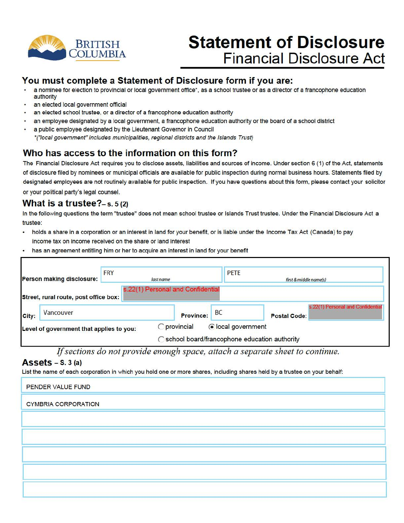

# **Statement of Disclosure Financial Disclosure Act**

### **You must complete a Statement of Disclosure form if you are:**

- a nominee for election to provincial or local government office\*, as a school trustee or as a director of a francophone education authority
- an elected local government official
- an elected school trustee, or a director of a francophone education authority
- an employee designated by a local government, a francophone education authority or the board of a school district
- a public employee designated by the Lieutenant Governor in Council \*("focal government" includes municipalities, regional districts and the Islands Trust)

## **Who has access to the information on this form?**

The Financial Disclosure Act requires you to disclose assets, liabilities and sources of income. Under section 6 (1) of the Act. statements of disclosure filed by nominees or municipal officials are available for public inspection during normal business hours. Statements filed by designated employees are not routinely available for public inspection. If you have questions about this form, please contact your solicitor or your political party's legal counsel.

#### **What is a trustee?-** s. s (2)

In the following questions the term "trustee" does not mean school trustee or Islands Trust trustee. Under the Financial Disclosure Act a trustee:

- holds a share in a corporation or an interest in land for your benefit, or is liable under the Income Tax Act (Canada) to pay income tax on income received on the share or land interest
- has an agreement entitling him or her to acquire an interest in land for your benefit

| <b>FRY</b><br>Person making disclosure: |                                          | last name | <b>PETE</b>                       | first & middle name(s) |                                                          |
|-----------------------------------------|------------------------------------------|-----------|-----------------------------------|------------------------|----------------------------------------------------------|
|                                         | Street, rural route, post office box:    |           | s.22(1) Personal and Confidential |                        |                                                          |
| City:                                   | Vancouver                                |           | <b>Province:</b>                  | <b>BC</b>              | s.22(1) Personal and Confidential<br><b>Postal Code:</b> |
|                                         | Level of government that applies to you: |           | <b>O</b> provincial               | colocal government     | ◯ school board/francophone education authority           |

*If sections do not provide enough space, attach a separate sheet to continue.* 

#### **Assets** - **s.** 3 (a)

List the name of each corporation in which you hold one or more shares, including shares held by a trustee on your behalf:

| PENDER VALUE FUND          |  |  |
|----------------------------|--|--|
| <b>CYMBRIA CORPORATION</b> |  |  |
|                            |  |  |
|                            |  |  |
|                            |  |  |
|                            |  |  |
|                            |  |  |
|                            |  |  |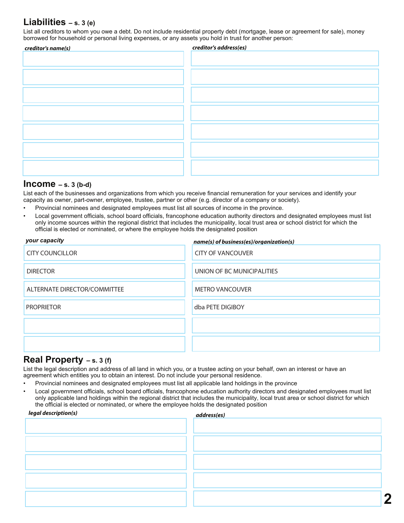### **Liabilities – s. 3 (e)**

List all creditors to whom you owe a debt. Do not include residential property debt (mortgage, lease or agreement for sale), money borrowed for household or personal living expenses, or any assets you hold in trust for another person:

| creditor's name(s) | creditor's address(es) |
|--------------------|------------------------|
|                    |                        |
|                    |                        |
|                    |                        |
|                    |                        |
|                    |                        |
|                    |                        |
|                    |                        |
|                    |                        |
|                    |                        |
|                    |                        |
|                    |                        |
|                    |                        |
|                    |                        |
|                    |                        |
|                    |                        |
|                    |                        |

#### **Income – s. 3 (b-d)**

List each of the businesses and organizations from which you receive financial remuneration for your services and identify your capacity as owner, part-owner, employee, trustee, partner or other (e.g. director of a company or society).

- Provincial nominees and designated employees must list all sources of income in the province.
- Local government officials, school board officials, francophone education authority directors and designated employees must list only income sources within the regional district that includes the municipality, local trust area or school district for which the official is elected or nominated, or where the employee holds the designated position

| your capacity                | name(s) of business(es)/organization(s) |  |
|------------------------------|-----------------------------------------|--|
| <b>CITY COUNCILLOR</b>       | <b>CITY OF VANCOUVER</b>                |  |
| <b>DIRECTOR</b>              | UNION OF BC MUNICIPALITIES              |  |
| ALTERNATE DIRECTOR/COMMITTEE | <b>METRO VANCOUVER</b>                  |  |
| <b>PROPRIETOR</b>            | dba PETE DIGIBOY                        |  |
|                              |                                         |  |
|                              |                                         |  |

#### **Real Property – s. 3 (f)**

List the legal description and address of all land in which you, or a trustee acting on your behalf, own an interest or have an agreement which entitles you to obtain an interest. Do not include your personal residence.

- Provincial nominees and designated employees must list all applicable land holdings in the province
- Local government officials, school board officials, francophone education authority directors and designated employees must list only applicable land holdings within the regional district that includes the municipality, local trust area or school district for which the official is elected or nominated, or where the employee holds the designated position

| legal description(s) | address(es) |
|----------------------|-------------|
|                      |             |
|                      |             |
|                      |             |
|                      |             |
|                      |             |